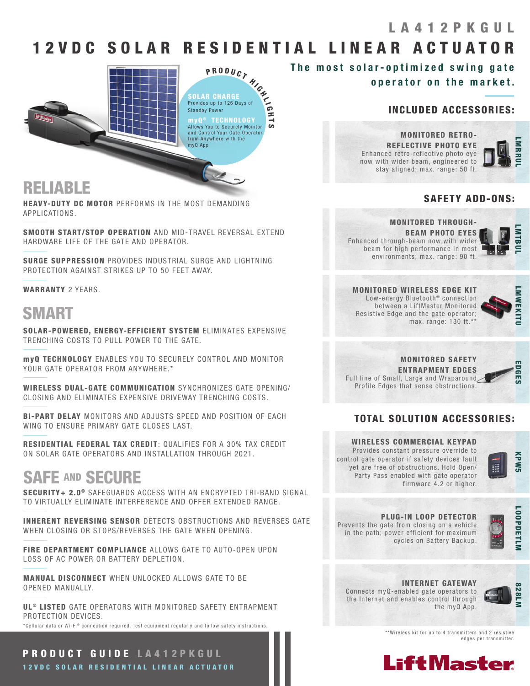### LA412PKGUL

## 12 V D C SOLAR RESIDENTIAL LINEAR ACTUATOR



## RELIABLE

HEAVY-DUTY DC MOTOR PERFORMS IN THE MOST DEMANDING APPLICATIONS.

SMOOTH START/STOP OPERATION AND MID-TRAVEL REVERSAL EXTEND HARDWARE LIFE OF THE GATE AND OPERATOR.

SURGE SUPPRESSION PROVIDES INDUSTRIAL SURGE AND LIGHTNING PROTECTION AGAINST STRIKES UP TO 50 FEET AWAY.

WARRANTY 2 YEARS.

## SMART

SOLAR-POWERED, ENERGY-EFFICIENT SYSTEM ELIMINATES EXPENSIVE TRENCHING COSTS TO PULL POWER TO THE GATE.

myQ TECHNOLOGY ENABLES YOU TO SECURELY CONTROL AND MONITOR YOUR GATE OPERATOR FROM ANYWHERE.\*

WIRELESS DUAL-GATE COMMUNICATION SYNCHRONIZES GATE OPENING/ CLOSING AND ELIMINATES EXPENSIVE DRIVEWAY TRENCHING COSTS.

BI-PART DELAY MONITORS AND ADJUSTS SPEED AND POSITION OF EACH WING TO ENSURE PRIMARY GATE CLOSES LAST.

RESIDENTIAL FEDERAL TAX CREDIT: QUALIFIES FOR A 30% TAX CREDIT ON SOLAR GATE OPERATORS AND INSTALLATION THROUGH 2021.

## SAFE AND SECURE

SECURITY+ 2.0<sup>®</sup> SAFEGUARDS ACCESS WITH AN ENCRYPTED TRI-BAND SIGNAL TO VIRTUALLY ELIMINATE INTERFERENCE AND OFFER EXTENDED RANGE.

**INHERENT REVERSING SENSOR** DETECTS OBSTRUCTIONS AND REVERSES GATE WHEN CLOSING OR STOPS/REVERSES THE GATE WHEN OPENING.

FIRE DEPARTMENT COMPLIANCE ALLOWS GATE TO AUTO-OPEN UPON LOSS OF AC POWER OR BATTERY DEPLETION.

MANUAL DISCONNECT WHEN UNLOCKED ALLOWS GATE TO BE OPENED MANUALLY.

UL<sup>®</sup> LISTED GATE OPERATORS WITH MONITORED SAFETY ENTRAPMENT PROTECTION DEVICES.

\*Cellular data or Wi-Fi® connection required. Test equipment regularly and follow safety instructions.

PRODUCT GUIDE LA412PKGUL 12 V D C SO LAR RESIDENTIAL LINEAR ACTUATOR

## The most solar-optimized swing gate

operator on the market.

### INCLUDED ACCESSORIES:

MONITORED RETRO-REFLECTIVE PHOTO EYE Enhanced retro-reflective photo eye now with wider beam, engineered to stay aligned; max. range: 50 ft.



### SAFETY ADD-ONS:

MONITORED THROUGH-BEAM PHOTO EYES

Enhanced through-beam now with wider beam for high performance in most environments; max. range: 90 ft.



MONITORED WIRELESS EDGE KIT Low-energy Bluetooth<sup>®</sup> connection between a LiftMaster Monitored Resistive Edge and the gate operator; max. range: 130 ft.\*\*



#### MONITORED SAFETY ENTRAPMENT EDGES Full line of Small, Large and Wraparound Profile Edges that sense obstructions.

 EDGES EDGES

### TOTAL SOLUTION ACCESSORIES:

### WIRELESS COMMERCIAL KEYPAD

Provides constant pressure override to control gate operator if safety devices fault yet are free of obstructions. Hold Open/ Party Pass enabled with gate operator firmware 4.2 or higher.



PLUG-IN LOOP DETECTOR Prevents the gate from closing on a vehicle in the path; power efficient for maximum cycles on Battery Backup.



#### INTERNET GATEWAY

Connects myQ-enabled gate operators to the Internet and enables control through the myQ App.



\*\*Wireless kit for up to 4 transmitters and 2 resistive edges per transmitter.